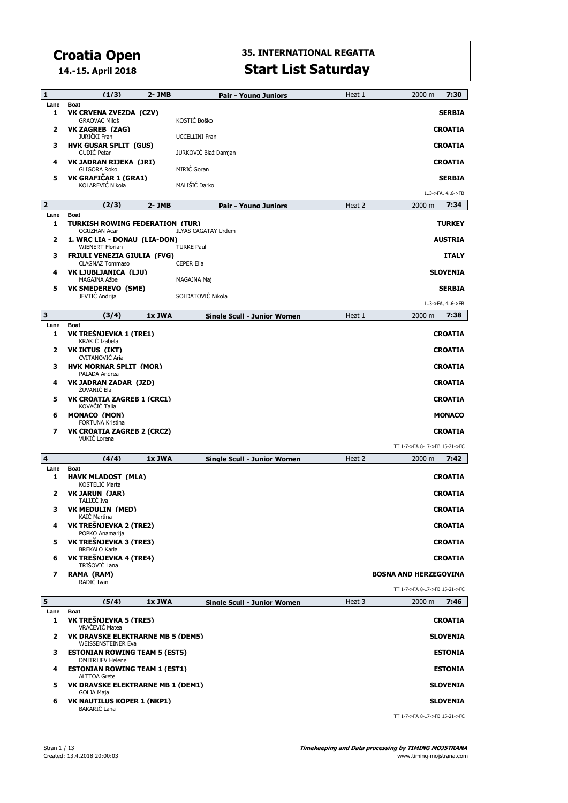**14.-15. April 2018**

| 1              | (1/3)                                                                         | 2- JMB    | Pair - Young Juniors                            | Heat 1 | 7:30<br>2000 m                |
|----------------|-------------------------------------------------------------------------------|-----------|-------------------------------------------------|--------|-------------------------------|
| Lane<br>1      | <b>Boat</b><br>VK CRVENA ZVEZDA (CZV)<br><b>GRAOVAC Miloš</b>                 |           | KOSTIĆ Boško                                    |        | <b>SERBIA</b>                 |
| 2              | VK ZAGREB (ZAG)<br><b>JURIČKI Fran</b>                                        |           | <b>UCCELLINI Fran</b>                           |        | <b>CROATIA</b>                |
| з              | <b>HVK GUSAR SPLIT (GUS)</b><br>GUDIĆ Petar                                   |           | JURKOVIĆ Blaž Damjan                            |        | <b>CROATIA</b>                |
| 4              | VK JADRAN RIJEKA (JRI)<br><b>GLIGORA Roko</b>                                 |           | MIRIĆ Goran                                     |        | <b>CROATIA</b>                |
| 5              | VK GRAFIČAR 1 (GRA1)<br>KOLAREVIĆ Nikola                                      |           | MALIŠIĆ Darko                                   |        | <b>SERBIA</b>                 |
|                |                                                                               |           |                                                 |        | 13->FA, 46->FB                |
| $\overline{2}$ | (2/3)                                                                         | $2 - JMB$ | Pair - Young Juniors                            | Heat 2 | 2000 m<br>7:34                |
| Lane<br>1      | <b>Boat</b><br>TURKISH ROWING FEDERATION (TUR)                                |           |                                                 |        | <b>TURKEY</b>                 |
| 2              | <b>OGUZHAN Acar</b><br>1. WRC LIA - DONAU (LIA-DON)<br><b>WIENERT Florian</b> |           | <b>ILYAS CAGATAY Urdem</b><br><b>TURKE Paul</b> |        | <b>AUSTRIA</b>                |
| з              | <b>FRIULI VENEZIA GIULIA (FVG)</b><br><b>CLAGNAZ Tommaso</b>                  |           | <b>CEPER Elia</b>                               |        | <b>ITALY</b>                  |
| 4              | VK LJUBLJANICA (LJU)<br>MAGAJNA Ažbe                                          |           | MAGAJNA Maj                                     |        | <b>SLOVENIA</b>               |
| 5              | <b>VK SMEDEREVO (SME)</b><br>JEVTIĆ Andrija                                   |           | SOLDATOVIĆ Nikola                               |        | <b>SERBIA</b>                 |
|                |                                                                               |           |                                                 |        | 13->FA, 46->FB                |
| з              | (3/4)                                                                         | 1x JWA    | Sinale Scull - Junior Women                     | Heat 1 | 7:38<br>2000 m                |
| Lane<br>1      | <b>Boat</b><br>VK TREŠNJEVKA 1 (TRE1)<br>KRAKIĆ Izabela                       |           |                                                 |        | <b>CROATIA</b>                |
| 2              | VK IKTUS (IKT)<br><b>CVITANOVIC Aria</b>                                      |           |                                                 |        | <b>CROATIA</b>                |
| з              | <b>HVK MORNAR SPLIT (MOR)</b><br>PALADA Andrea                                |           |                                                 |        | <b>CROATIA</b>                |
| 4              | VK JADRAN ZADAR (JZD)<br>ŽUVANIĆ Ela                                          |           |                                                 |        | <b>CROATIA</b>                |
| 5              | VK CROATIA ZAGREB 1 (CRC1)<br>KOVAČIĆ Talia                                   |           |                                                 |        | <b>CROATIA</b>                |
| 6              | <b>MONACO (MON)</b><br><b>FORTUNA Kristina</b>                                |           |                                                 |        | <b>MONACO</b>                 |
| 7              | <b>VK CROATIA ZAGREB 2 (CRC2)</b><br>VUKIĆ Lorena                             |           |                                                 |        | <b>CROATIA</b>                |
|                |                                                                               |           |                                                 |        | TT 1-7->FA 8-17->FB 15-21->FC |
| 4<br>Lane      | (4/4)<br><b>Boat</b>                                                          | 1x JWA    | <b>Single Scull - Junior Women</b>              | Heat 2 | 7:42<br>2000 m                |
| 1              | <b>HAVK MLADOST (MLA)</b><br>KOSTELIĆ Marta                                   |           |                                                 |        | <b>CROATIA</b>                |
| 2              | <b>VK JARUN (JAR)</b><br>TALIJIĆ Iva                                          |           |                                                 |        | <b>CROATIA</b>                |
| з              | <b>VK MEDULIN (MED)</b><br>KAIĆ Martina                                       |           |                                                 |        | <b>CROATIA</b>                |
| 4              | VK TREŠNJEVKA 2 (TRE2)<br>POPKO Anamarija                                     |           |                                                 |        | <b>CROATIA</b>                |
| 5              | VK TREŠNJEVKA 3 (TRE3)<br><b>BREKALO Karla</b>                                |           |                                                 |        | <b>CROATIA</b>                |
| 6              | VK TREŠNJEVKA 4 (TRE4)<br>TRIŠOVIĆ Lana                                       |           |                                                 |        | <b>CROATIA</b>                |
| 7              | RAMA (RAM)<br>RADIC Ivan                                                      |           |                                                 |        | <b>BOSNA AND HERZEGOVINA</b>  |
|                |                                                                               |           |                                                 |        | TT 1-7->FA 8-17->FB 15-21->FC |
| 5<br>Lane      | (5/4)<br><b>Boat</b>                                                          | 1x JWA    | <b>Single Scull - Junior Women</b>              | Heat 3 | 2000 m<br>7:46                |
| 1              | VK TREŠNJEVKA 5 (TRE5)<br>VRAČEVIĆ Matea                                      |           |                                                 |        | <b>CROATIA</b>                |
| 2              | <b>VK DRAVSKE ELEKTRARNE MB 5 (DEM5)</b><br><b>WEISSENSTEINER Eva</b>         |           |                                                 |        | <b>SLOVENIA</b>               |
| з              | <b>ESTONIAN ROWING TEAM 5 (EST5)</b><br><b>DMITRIJEV Helene</b>               |           |                                                 |        | <b>ESTONIA</b>                |
| 4              | <b>ESTONIAN ROWING TEAM 1 (EST1)</b><br><b>ALTTOA Grete</b>                   |           |                                                 |        | <b>ESTONIA</b>                |
| 5              | VK DRAVSKE ELEKTRARNE MB 1 (DEM1)<br><b>GOLJA Maja</b>                        |           |                                                 |        | <b>SLOVENIA</b>               |
| 6              | <b>VK NAUTILUS KOPER 1 (NKP1)</b><br>BAKARIČ Lana                             |           |                                                 |        | <b>SLOVENIA</b>               |
|                |                                                                               |           |                                                 |        | TT 1-7->FA 8-17->FB 15-21->FC |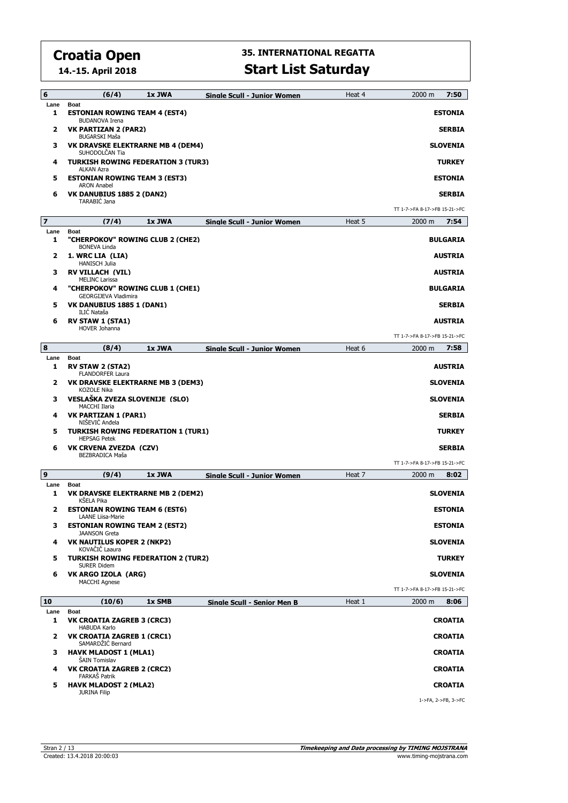**14.-15. April 2018**

| 6                       | (6/4)                                                                 | 1x JWA | Sinale Scull - Junior Women        | Heat 4 | 2000 m<br>7:50                |
|-------------------------|-----------------------------------------------------------------------|--------|------------------------------------|--------|-------------------------------|
| Lane<br>1               | <b>Boat</b><br><b>ESTONIAN ROWING TEAM 4 (EST4)</b>                   |        |                                    |        | <b>ESTONIA</b>                |
| 2                       | <b>BUDANOVA Irena</b><br>VK PARTIZAN 2 (PAR2)<br><b>BUGARSKI Maša</b> |        |                                    |        | <b>SERBIA</b>                 |
| з                       | VK DRAVSKE ELEKTRARNE MB 4 (DEM4)<br>SUHODOLČAN Tia                   |        |                                    |        | <b>SLOVENIA</b>               |
| 4                       | TURKISH ROWING FEDERATION 3 (TUR3)<br><b>ALKAN Azra</b>               |        |                                    |        | <b>TURKEY</b>                 |
| 5                       | <b>ESTONIAN ROWING TEAM 3 (EST3)</b><br><b>ARON Anabel</b>            |        |                                    |        | <b>ESTONIA</b>                |
| 6                       | VK DANUBIUS 1885 2 (DAN2)<br><b>TARABIC Jana</b>                      |        |                                    |        | <b>SERBIA</b>                 |
|                         |                                                                       |        |                                    |        | TT 1-7->FA 8-17->FB 15-21->FC |
| $\overline{\mathbf{z}}$ | (7/4)                                                                 | 1x JWA | <b>Single Scull - Junior Women</b> | Heat 5 | 7:54<br>$2000 \; m$           |
| Lane<br>1               | Boat<br>"CHERPOKOV" ROWING CLUB 2 (CHE2)<br><b>BONEVA Linda</b>       |        |                                    |        | <b>BULGARIA</b>               |
| 2                       | 1. WRC LIA (LIA)<br><b>HANISCH Julia</b>                              |        |                                    |        | <b>AUSTRIA</b>                |
| з                       | <b>RV VILLACH (VIL)</b><br><b>MELINC Larissa</b>                      |        |                                    |        | <b>AUSTRIA</b>                |
| 4                       | "CHERPOKOV" ROWING CLUB 1 (CHE1)<br><b>GEORGIJEVA Vladimira</b>       |        |                                    |        | <b>BULGARIA</b>               |
| 5                       | VK DANUBIUS 1885 1 (DAN1)<br>ILIC Nataša                              |        |                                    |        | <b>SERBIA</b>                 |
| 6                       | <b>RV STAW 1 (STA1)</b><br>HOVER Johanna                              |        |                                    |        | <b>AUSTRIA</b>                |
|                         |                                                                       |        |                                    |        | TT 1-7->FA 8-17->FB 15-21->FC |
| 8<br>Lane               | (8/4)<br><b>Boat</b>                                                  | 1x JWA | <b>Single Scull - Junior Women</b> | Heat 6 | 7:58<br>2000 m                |
| 1                       | <b>RV STAW 2 (STA2)</b><br><b>FLANDORFER Laura</b>                    |        |                                    |        | <b>AUSTRIA</b>                |
| 2                       | VK DRAVSKE ELEKTRARNE MB 3 (DEM3)<br><b>KOZOLE Nika</b>               |        |                                    |        | <b>SLOVENIA</b>               |
| з                       | VESLAŠKA ZVEZA SLOVENIJE (SLO)<br><b>MACCHI Ilaria</b>                |        |                                    |        | <b>SLOVENIA</b>               |
| 4                       | VK PARTIZAN 1 (PAR1)<br>NISEVIC Andela                                |        |                                    |        | <b>SERBIA</b>                 |
| 5                       | <b>TURKISH ROWING FEDERATION 1 (TUR1)</b><br><b>HEPSAG Petek</b>      |        |                                    |        | <b>TURKEY</b>                 |
| 6                       | VK CRVENA ZVEZDA (CZV)<br>BEZBRADICA Maša                             |        |                                    |        | <b>SERBIA</b>                 |
|                         |                                                                       |        |                                    |        | TT 1-7->FA 8-17->FB 15-21->FC |
| 9                       | (9/4)<br><b>Boat</b>                                                  | 1x JWA | <b>Single Scull - Junior Women</b> | Heat 7 | 8:02<br>2000 m                |
| Lane<br>1               | VK DRAVSKE ELEKTRARNE MB 2 (DEM2)<br>KŠELA Pika                       |        |                                    |        | <b>SLOVENIA</b>               |
| 2                       | <b>ESTONIAN ROWING TEAM 6 (EST6)</b><br>LAANE Liisa-Marie             |        |                                    |        | <b>ESTONIA</b>                |
| 3                       | <b>ESTONIAN ROWING TEAM 2 (EST2)</b><br><b>JAANSON Greta</b>          |        |                                    |        | <b>ESTONIA</b>                |
| 4                       | <b>VK NAUTILUS KOPER 2 (NKP2)</b><br>KOVAČIČ Laaura                   |        |                                    |        | <b>SLOVENIA</b>               |
| 5                       | <b>TURKISH ROWING FEDERATION 2 (TUR2)</b><br><b>SURER Didem</b>       |        |                                    |        | <b>TURKEY</b>                 |
| 6                       | VK ARGO IZOLA (ARG)<br><b>MACCHI Agnese</b>                           |        |                                    |        | <b>SLOVENIA</b>               |
|                         |                                                                       |        |                                    |        | TT 1-7->FA 8-17->FB 15-21->FC |
| 10                      | (10/6)                                                                | 1x SMB | Single Scull - Senior Men B        | Heat 1 | 2000 m<br>8:06                |
| Lane<br>1               | <b>Boat</b><br>VK CROATIA ZAGREB 3 (CRC3)<br><b>HABUDA Karlo</b>      |        |                                    |        | <b>CROATIA</b>                |
| 2                       | <b>VK CROATIA ZAGREB 1 (CRC1)</b><br>SAMARDŽIĆ Bernard                |        |                                    |        | <b>CROATIA</b>                |
| з                       | <b>HAVK MLADOST 1 (MLA1)</b><br>ŠAIN Tomislav                         |        |                                    |        | <b>CROATIA</b>                |
| 4                       | <b>VK CROATIA ZAGREB 2 (CRC2)</b><br>FARKAŠ Patrik                    |        |                                    |        | <b>CROATIA</b>                |
| 5                       | <b>HAVK MLADOST 2 (MLA2)</b><br><b>JURINA Filip</b>                   |        |                                    |        | <b>CROATIA</b>                |
|                         |                                                                       |        |                                    |        | 1->FA, 2->FB, 3->FC           |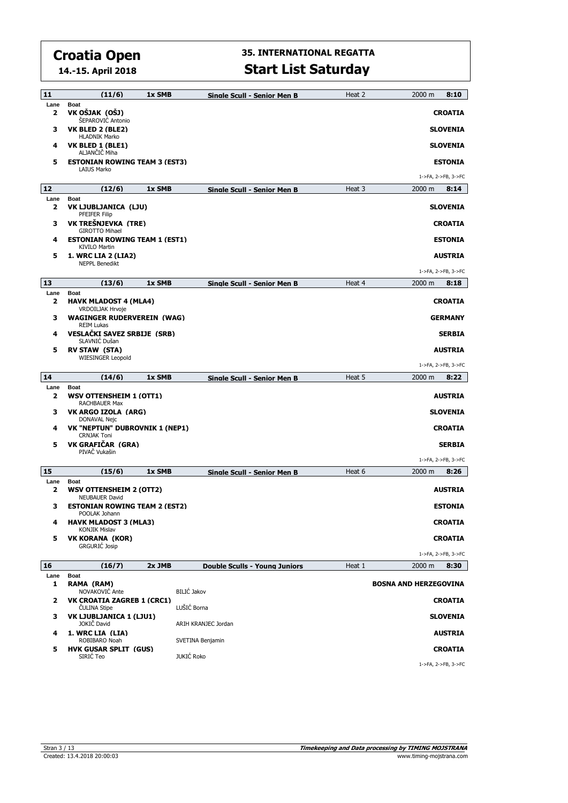**14.-15. April 2018**

| 11        | (11/6)                                                                 | 1x SMB | Sinale Scull - Senior Men B          | Heat 2 | 2000 m<br>8:10                        |
|-----------|------------------------------------------------------------------------|--------|--------------------------------------|--------|---------------------------------------|
| Lane<br>2 | <b>Boat</b><br>VK OŠJAK (OŠJ)<br>ŠEPAROVIĆ Antonio                     |        |                                      |        | <b>CROATIA</b>                        |
| з         | VK BLED 2 (BLE2)<br><b>HLADNIK Marko</b>                               |        |                                      |        | <b>SLOVENIA</b>                       |
| 4         | VK BLED 1 (BLE1)<br>ALJANČIČ Miha                                      |        |                                      |        | <b>SLOVENIA</b>                       |
| 5         | <b>ESTONIAN ROWING TEAM 3 (EST3)</b><br><b>LAIUS Marko</b>             |        |                                      |        | <b>ESTONIA</b><br>1->FA, 2->FB, 3->FC |
| 12        | (12/6)                                                                 | 1x SMB |                                      | Heat 3 | 2000 m<br>8:14                        |
| Lane      | <b>Boat</b>                                                            |        | Sinale Scull - Senior Men B          |        |                                       |
| 2         | VK LJUBLJANICA (LJU)<br>PFEIFER Filip                                  |        |                                      |        | <b>SLOVENIA</b>                       |
| з         | VK TREŠNJEVKA (TRE)<br><b>GIROTTO Mihael</b>                           |        |                                      |        | <b>CROATIA</b>                        |
| 4         | <b>ESTONIAN ROWING TEAM 1 (EST1)</b><br><b>KIVILO Martin</b>           |        |                                      |        | <b>ESTONIA</b>                        |
| 5         | 1. WRC LIA 2 (LIA2)<br><b>NEPPL Benedikt</b>                           |        |                                      |        | <b>AUSTRIA</b>                        |
| 13        | (13/6)                                                                 | 1x SMB | Single Scull - Senior Men B          | Heat 4 | 1->FA, 2->FB, 3->FC<br>8:18<br>2000 m |
| Lane      | <b>Boat</b>                                                            |        |                                      |        |                                       |
| 2         | <b>HAVK MLADOST 4 (MLA4)</b><br>VRDOILJAK Hrvoje                       |        |                                      |        | <b>CROATIA</b>                        |
| з         | <b>WAGINGER RUDERVEREIN (WAG)</b><br><b>REIM Lukas</b>                 |        |                                      |        | <b>GERMANY</b>                        |
| 4         | VESLAČKI SAVEZ SRBIJE (SRB)<br>SLAVNIĆ Dušan                           |        |                                      |        | <b>SERBIA</b>                         |
| 5         | <b>RV STAW (STA)</b><br><b>WIESINGER Leopold</b>                       |        |                                      |        | <b>AUSTRIA</b>                        |
|           |                                                                        |        |                                      |        | 1->FA, 2->FB, 3->FC                   |
| 14        | (14/6)                                                                 | 1x SMB | Single Scull - Senior Men B          | Heat 5 | 2000 m<br>8:22                        |
| Lane<br>2 | <b>Boat</b><br>WSV OTTENSHEIM 1 (OTT1)<br>RACHBAUER Max                |        |                                      |        | <b>AUSTRIA</b>                        |
| з         | VK ARGO IZOLA (ARG)<br>DONAVAL Nejc                                    |        |                                      |        | <b>SLOVENIA</b>                       |
| 4         | VK "NEPTUN" DUBROVNIK 1 (NEP1)<br><b>CRNJAK Toni</b>                   |        |                                      |        | <b>CROATIA</b>                        |
| 5         | VK GRAFIČAR (GRA)                                                      |        |                                      |        | <b>SERBIA</b>                         |
|           | PIVAČ Vukašin                                                          |        |                                      |        | 1->FA, 2->FB, 3->FC                   |
| 15        | (15/6)                                                                 | 1x SMB | Single Scull - Senior Men B          | Heat 6 | 8:26<br>2000 m                        |
| Lane<br>2 | <b>Boat</b><br><b>WSV OTTENSHEIM 2 (OTT2)</b><br><b>NEUBAUER David</b> |        |                                      |        | <b>AUSTRIA</b>                        |
| з         | <b>ESTONIAN ROWING TEAM 2 (EST2)</b><br>POOLAK Johann                  |        |                                      |        | <b>ESTONIA</b>                        |
| 4         | <b>HAVK MLADOST 3 (MLA3)</b><br><b>KONJIK Mislav</b>                   |        |                                      |        | <b>CROATIA</b>                        |
| 5         | <b>VK KORANA (KOR)</b>                                                 |        |                                      |        | <b>CROATIA</b>                        |
|           | <b>GRGURIĆ Josip</b>                                                   |        |                                      |        | 1->FA, 2->FB, 3->FC                   |
| 16        | (16/7)                                                                 | 2x JMB | <b>Double Sculls - Young Juniors</b> | Heat 1 | 8:30<br>2000 m                        |
| Lane<br>1 | <b>Boat</b><br>RAMA (RAM)<br>NOVAKOVIĆ Ante                            |        | BILIĆ Jakov                          |        | <b>BOSNA AND HERZEGOVINA</b>          |
| 2         | <b>VK CROATIA ZAGREB 1 (CRC1)</b><br><b>CULINA Stipe</b>               |        | LUŠIĆ Borna                          |        | <b>CROATIA</b>                        |
| з         | VK LJUBLJANICA 1 (LJU1)<br>JOKIČ David                                 |        | ARIH KRANJEC Jordan                  |        | <b>SLOVENIA</b>                       |
| 4         | 1. WRC LIA (LIA)                                                       |        |                                      |        | <b>AUSTRIA</b>                        |
| 5         | ROBIBARO Noah<br><b>HVK GUSAR SPLIT (GUS)</b>                          |        | SVETINA Benjamin                     |        | <b>CROATIA</b>                        |
|           | SIRIĆ Teo                                                              |        | JUKIĆ Roko                           |        | 1->FA, 2->FB, 3->FC                   |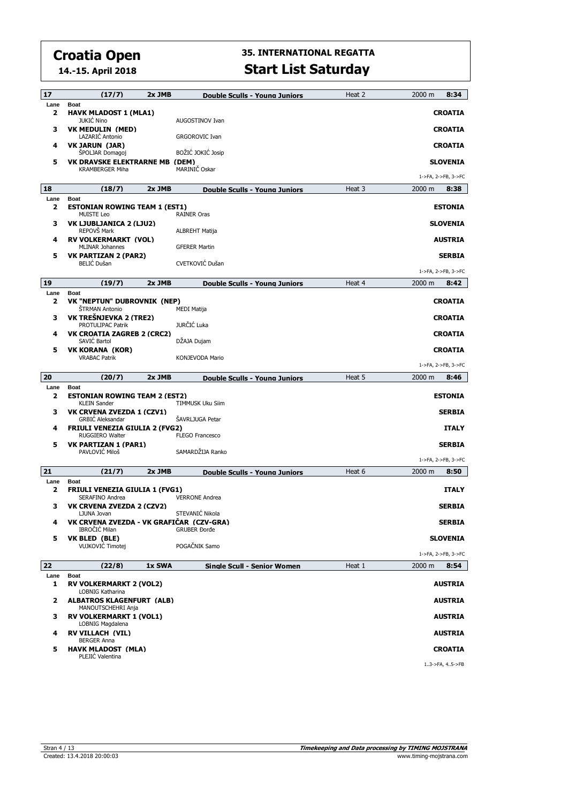**14.-15. April 2018**

| 17                              | (17/7)                                                    | $2x$ JMB | <b>Double Sculls - Young Juniors</b> | Heat 2 | 2000 m      | 8:34                |
|---------------------------------|-----------------------------------------------------------|----------|--------------------------------------|--------|-------------|---------------------|
| Lane<br>$\overline{\mathbf{z}}$ | <b>Boat</b><br><b>HAVK MLADOST 1 (MLA1)</b>               |          |                                      |        |             | <b>CROATIA</b>      |
|                                 | <b>JUKIĆ Nino</b>                                         |          | AUGOSTINOV Ivan                      |        |             |                     |
| з                               | <b>VK MEDULIN (MED)</b><br>LAZARIĆ Antonio                |          | <b>GRGOROVIC Ivan</b>                |        |             | <b>CROATIA</b>      |
| 4                               | <b>VK JARUN (JAR)</b><br><b>SPOLJAR Domagoj</b>           |          | BOŽIĆ JOKIĆ Josip                    |        |             | <b>CROATIA</b>      |
| 5                               | <b>VK DRAVSKE ELEKTRARNE MB (DEM)</b>                     |          |                                      |        |             | <b>SLOVENIA</b>     |
|                                 | <b>KRAMBERGER Miha</b>                                    |          | MARINIČ Oskar                        |        |             | 1->FA, 2->FB, 3->FC |
| 18                              | (18/7)                                                    | 2x JMB   | <b>Double Sculls - Young Juniors</b> | Heat 3 | $2000 \; m$ | 8:38                |
| Lane<br>2                       | <b>Boat</b><br><b>ESTONIAN ROWING TEAM 1 (EST1)</b>       |          |                                      |        |             | <b>ESTONIA</b>      |
|                                 | <b>MUISTE Leo</b>                                         |          | <b>RAINER Oras</b>                   |        |             |                     |
| з                               | VK LJUBLJANICA 2 (LJU2)<br>REPOVŠ Mark                    |          | ALBREHT Matija                       |        |             | <b>SLOVENIA</b>     |
| 4                               | <b>RV VOLKERMARKT (VOL)</b><br><b>MLINAR Johannes</b>     |          | <b>GFERER Martin</b>                 |        |             | <b>AUSTRIA</b>      |
| 5                               | <b>VK PARTIZAN 2 (PAR2)</b>                               |          |                                      |        |             | <b>SERBIA</b>       |
|                                 | <b>BELIC</b> Dušan                                        |          | CVETKOVIĆ Dušan                      |        |             | 1->FA, 2->FB, 3->FC |
| 19                              | (19/7)                                                    | 2x JMB   | <b>Double Sculls - Young Juniors</b> | Heat 4 | $2000 \; m$ | 8:42                |
| Lane<br>2                       | <b>Boat</b><br>VK "NEPTUN" DUBROVNIK (NEP)                |          |                                      |        |             | <b>CROATIA</b>      |
|                                 | ŠTRMAN Antonio                                            |          | <b>MEDI Matija</b>                   |        |             |                     |
| з                               | VK TREŠNJEVKA 2 (TRE2)<br>PROTULIPAC Patrik               |          | JURČIĆ Luka                          |        |             | <b>CROATIA</b>      |
| 4                               | VK CROATIA ZAGREB 2 (CRC2)<br>SAVIĆ Bartol                |          | DŽAJA Dujam                          |        |             | <b>CROATIA</b>      |
| 5                               | <b>VK KORANA (KOR)</b>                                    |          |                                      |        |             | <b>CROATIA</b>      |
|                                 | <b>VRABAC Patrik</b>                                      |          | KONJEVODA Mario                      |        |             | 1->FA, 2->FB, 3->FC |
| 20                              | (20/7)                                                    | $2x$ JMB | <b>Double Sculls - Young Juniors</b> | Heat 5 | 2000 m      | 8:46                |
| Lane<br>2                       | <b>Boat</b><br><b>ESTONIAN ROWING TEAM 2 (EST2)</b>       |          |                                      |        |             | <b>ESTONIA</b>      |
| з                               | <b>KLEIN Sander</b><br>VK CRVENA ZVEZDA 1 (CZV1)          |          | TIMMUSK Uku Siim                     |        |             | <b>SERBIA</b>       |
|                                 | <b>GRBIC Aleksandar</b>                                   |          | ŠAVRLJUGA Petar                      |        |             |                     |
| 4                               | <b>FRIULI VENEZIA GIULIA 2 (FVG2)</b><br>RUGGIERO Walter  |          | <b>FLEGO Francesco</b>               |        |             | <b>ITALY</b>        |
| 5                               | VK PARTIZAN 1 (PAR1)<br>PAVLOVIĆ Miloš                    |          | SAMARDŽIJA Ranko                     |        |             | <b>SERBIA</b>       |
|                                 |                                                           |          |                                      |        |             | 1->FA, 2->FB, 3->FC |
| 21                              | (21/7)                                                    | 2x JMB   | <b>Double Sculls - Young Juniors</b> | Heat 6 | 2000 m      | 8:50                |
| Lane<br>2                       | <b>Boat</b><br><b>FRIULI VENEZIA GIULIA 1 (FVG1)</b>      |          |                                      |        |             | <b>ITALY</b>        |
| з                               | SERAFINO Andrea<br>VK CRVENA ZVEZDA 2 (CZV2)              |          | <b>VERRONE Andrea</b>                |        |             | <b>SERBIA</b>       |
|                                 | LJUNA Jovan                                               |          | STEVANIĆ Nikola                      |        |             |                     |
| 4                               | VK CRVENA ZVEZDA - VK GRAFICAR (CZV-GRA)<br>IBROCIC Milan |          | <b>GRUBER Đorđe</b>                  |        |             | <b>SERBIA</b>       |
| 5                               | VK BLED (BLE)<br>VUJKOVIĆ Timotej                         |          | POGAČNIK Samo                        |        |             | <b>SLOVENIA</b>     |
|                                 |                                                           |          |                                      |        |             | 1->FA, 2->FB, 3->FC |
| 22<br>Lane                      | (22/8)<br><b>Boat</b>                                     | 1x SWA   | Single Scull - Senior Women          | Heat 1 | 2000 m      | 8:54                |
| 1                               | <b>RV VOLKERMARKT 2 (VOL2)</b>                            |          |                                      |        |             | <b>AUSTRIA</b>      |
| 2                               | LOBNIG Katharina<br><b>ALBATROS KLAGENFURT (ALB)</b>      |          |                                      |        |             | <b>AUSTRIA</b>      |
| з                               | MANOUTSCHEHRI Anja<br><b>RV VOLKERMARKT 1 (VOL1)</b>      |          |                                      |        |             | <b>AUSTRIA</b>      |
|                                 | LOBNIG Magdalena                                          |          |                                      |        |             |                     |
| 4                               | <b>RV VILLACH (VIL)</b><br><b>BERGER Anna</b>             |          |                                      |        |             | <b>AUSTRIA</b>      |
| 5                               | <b>HAVK MLADOST (MLA)</b><br>PLEJIC Valentina             |          |                                      |        |             | <b>CROATIA</b>      |
|                                 |                                                           |          |                                      |        |             | 13->FA, 45->FB      |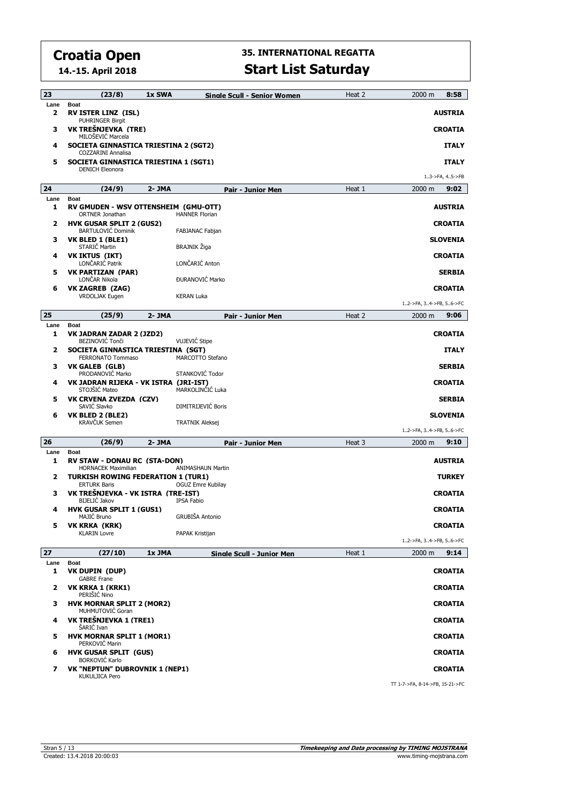**14.-15. April 2018**

| 23        | (23/8)                                                                                     | 1x SWA    | Sinale Scull - Senior Women | Heat 2 | 8:58<br>2000 m                   |
|-----------|--------------------------------------------------------------------------------------------|-----------|-----------------------------|--------|----------------------------------|
| Lane<br>2 | <b>Boat</b><br><b>RV ISTER LINZ (ISL)</b><br><b>PUHRINGER Birgit</b>                       |           |                             |        | <b>AUSTRIA</b>                   |
| з         | VK TREŠNJEVKA (TRE)<br>MILOŠEVIĆ Marcela                                                   |           |                             |        | <b>CROATIA</b>                   |
| 4         | SOCIETA GINNASTICA TRIESTINA 2 (SGT2)<br><b>COZZARINI Annalisa</b>                         |           |                             |        | <b>ITALY</b>                     |
| 5         | SOCIETA GINNASTICA TRIESTINA 1 (SGT1)<br><b>DENICH Eleonora</b>                            |           |                             |        | <b>ITALY</b><br>13->FA, 45->FB   |
| 24        | (24/9)                                                                                     | $2 - JMA$ | Pair - Junior Men           | Heat 1 | 9:02<br>2000 m                   |
| Lane<br>1 | <b>Boat</b>                                                                                |           |                             |        |                                  |
| 2         | RV GMUDEN - WSV OTTENSHEIM (GMU-OTT)<br>ORTNER Jonathan<br><b>HVK GUSAR SPLIT 2 (GUS2)</b> |           | <b>HANNER Florian</b>       |        | <b>AUSTRIA</b><br><b>CROATIA</b> |
|           | <b>BARTULOVIĆ Dominik</b>                                                                  |           | FABJANAC Fabjan             |        |                                  |
| з         | VK BLED 1 (BLE1)<br>STARIČ Martin                                                          |           | <b>BRAJNIK Žiga</b>         |        | <b>SLOVENIA</b>                  |
| 4         | <b>VK IKTUS (IKT)</b><br>LONČARIĆ Patrik                                                   |           | LONČARIĆ Anton              |        | <b>CROATIA</b>                   |
| 5         | <b>VK PARTIZAN (PAR)</b><br>LONČAR Nikola                                                  |           | <b>ĐURANOVIĆ Marko</b>      |        | <b>SERBIA</b>                    |
| 6         | <b>VK ZAGREB (ZAG)</b><br><b>VRDOLJAK Eugen</b>                                            |           | <b>KERAN Luka</b>           |        | <b>CROATIA</b>                   |
|           |                                                                                            |           |                             |        | 12->FA, 34->FB, 56->FC           |
| 25        | (25/9)                                                                                     | 2- JMA    | <b>Pair - Junior Men</b>    | Heat 2 | 9:06<br>2000 m                   |
| Lane<br>1 | <b>Boat</b><br>VK JADRAN ZADAR 2 (JZD2)<br><b>BEZINOVIĆ Tonči</b>                          |           | <b>VUJEVIĆ Stipe</b>        |        | <b>CROATIA</b>                   |
| 2         | SOCIETA GINNASTICA TRIESTINA (SGT)<br>FERRONATO Tommaso                                    |           | MARCOTTO Stefano            |        | <b>ITALY</b>                     |
| з         | VK GALEB (GLB)<br>PRODANOVIC Marko                                                         |           | STANKOVIĆ Todor             |        | <b>SERBIA</b>                    |
| 4         | VK JADRAN RIJEKA - VK ISTRA (JRI-IST)<br>STOJŠIĆ Mateo                                     |           | MARKOLINČIĆ Luka            |        | <b>CROATIA</b>                   |
| 5         | VK CRVENA ZVEZDA (CZV)<br>SAVIC Slavko                                                     |           | DIMITRIJEVIĆ Boris          |        | <b>SERBIA</b>                    |
| 6         | VK BLED 2 (BLE2)<br><b>KRAVČUK Semen</b>                                                   |           | <b>TRATNIK Aleksej</b>      |        | <b>SLOVENIA</b>                  |
|           |                                                                                            |           |                             |        | 12->FA, 34->FB, 56->FC           |
| 26        | (26/9)                                                                                     | 2- JMA    | Pair - Junior Men           | Heat 3 | 9:10<br>2000 m                   |
| Lane<br>1 | <b>Boat</b><br>RV STAW - DONAU RC (STA-DON)<br><b>HORNACEK Maximilian</b>                  |           | <b>ANIMASHAUN Martin</b>    |        | <b>AUSTRIA</b>                   |
| 2         | <b>TURKISH ROWING FEDERATION 1 (TUR1)</b><br><b>ERTURK Baris</b>                           |           | OGUZ Emre Kubilay           |        | <b>TURKEY</b>                    |
| з         | VK TREŠNJEVKA - VK ISTRA (TRE-IST)<br><b>BIJELIC Jakov</b>                                 |           | <b>IPSA Fabio</b>           |        | <b>CROATIA</b>                   |
| 4         | <b>HVK GUSAR SPLIT 1 (GUS1)</b><br>MAJIC Bruno                                             |           | <b>GRUBIŠA Antonio</b>      |        | <b>CROATIA</b>                   |
| 5         | VK KRKA (KRK)<br><b>KLARIN Lovre</b>                                                       |           | PAPAK Kristijan             |        | <b>CROATIA</b>                   |
|           |                                                                                            |           |                             |        | 12->FA, 34->FB, 56->FC           |
| 27        | (27/10)                                                                                    | 1x JMA    | Single Scull - Junior Men   | Heat 1 | 9:14<br>$2000 \; \text{m}$       |
| Lane<br>1 | Boat<br>VK DUPIN (DUP)<br><b>GABRE Frane</b>                                               |           |                             |        | <b>CROATIA</b>                   |
| 2         | VK KRKA 1 (KRK1)<br>PERISIC Nino                                                           |           |                             |        | <b>CROATIA</b>                   |
| з         | <b>HVK MORNAR SPLIT 2 (MOR2)</b><br>MUHMUTOVIC Goran                                       |           |                             |        | <b>CROATIA</b>                   |
| 4         | VK TREŠNJEVKA 1 (TRE1)<br>ŠARIĆ Ivan                                                       |           |                             |        | <b>CROATIA</b>                   |
| 5         | <b>HVK MORNAR SPLIT 1 (MOR1)</b><br>PERKOVIC Marin                                         |           |                             |        | <b>CROATIA</b>                   |
| 6         | <b>HVK GUSAR SPLIT (GUS)</b><br><b>BORKOVIC Karlo</b>                                      |           |                             |        | <b>CROATIA</b>                   |
| 7         | VK "NEPTUN" DUBROVNIK 1 (NEP1)                                                             |           |                             |        | <b>CROATIA</b>                   |
|           | <b>KUKULJICA Pero</b>                                                                      |           |                             |        | TT 1-7->FA, 8-14->FB, 15-21->FC  |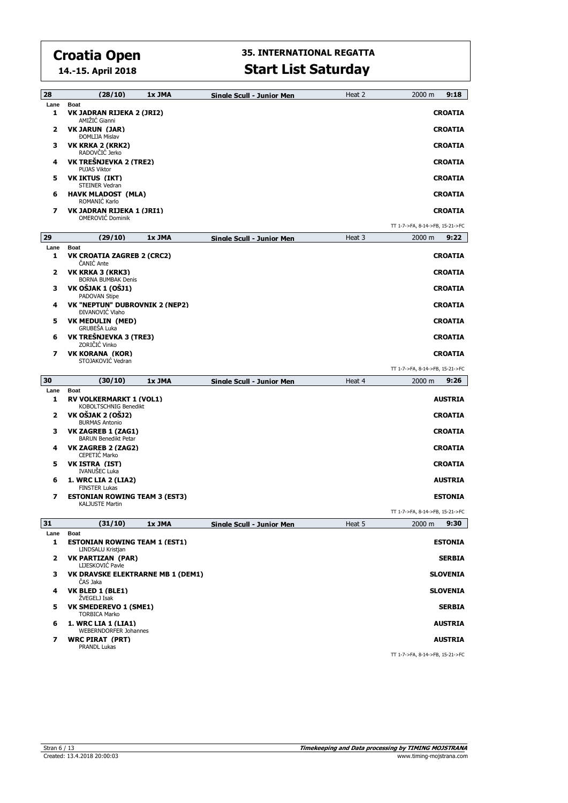**14.-15. April 2018**

| 28                       | (28/10)                                                                  | 1x JMA | Sinale Scull - Junior Men        | Heat 2 | 2000 m<br>9:18                                    |
|--------------------------|--------------------------------------------------------------------------|--------|----------------------------------|--------|---------------------------------------------------|
| Lane<br>1                | <b>Boat</b><br>VK JADRAN RIJEKA 2 (JRI2)<br>AMIŽIĆ Gianni                |        |                                  |        | <b>CROATIA</b>                                    |
| 2                        | <b>VK JARUN (JAR)</b><br><b>ĐOMLIJA Mislav</b>                           |        |                                  |        | <b>CROATIA</b>                                    |
| з                        | VK KRKA 2 (KRK2)<br>RADOVČIĆ Jerko                                       |        |                                  |        | <b>CROATIA</b>                                    |
| 4                        | VK TREŠNJEVKA 2 (TRE2)<br><b>PUJAS Viktor</b>                            |        |                                  |        | <b>CROATIA</b>                                    |
| 5                        | VK IKTUS (IKT)<br><b>STEINER Vedran</b>                                  |        |                                  |        | <b>CROATIA</b>                                    |
| 6                        | <b>HAVK MLADOST (MLA)</b><br>ROMANIĆ Karlo                               |        |                                  |        | <b>CROATIA</b>                                    |
| 7                        | VK JADRAN RIJEKA 1 (JRI1)<br><b>OMEROVIĆ Dominik</b>                     |        |                                  |        | <b>CROATIA</b>                                    |
|                          |                                                                          |        |                                  |        | TT 1-7->FA, 8-14->FB, 15-21->FC                   |
| 29                       | (29/10)                                                                  | 1x JMA | <b>Single Scull - Junior Men</b> | Heat 3 | 2000 m<br>9:22                                    |
| Lane<br>1                | <b>Boat</b><br>VK CROATIA ZAGREB 2 (CRC2)<br>ČANIĆ Ante                  |        |                                  |        | <b>CROATIA</b>                                    |
| 2                        | VK KRKA 3 (KRK3)<br><b>BORNA BUMBAK Denis</b>                            |        |                                  |        | <b>CROATIA</b>                                    |
| з                        | VK OŠJAK 1 (OŠJ1)<br>PADOVAN Stipe                                       |        |                                  |        | <b>CROATIA</b>                                    |
| 4                        | VK "NEPTUN" DUBROVNIK 2 (NEP2)<br><b>ĐIVANOVIĆ Vlaho</b>                 |        |                                  |        | <b>CROATIA</b>                                    |
| 5                        | <b>VK MEDULIN (MED)</b><br>GRUBEŠA Luka                                  |        |                                  |        | <b>CROATIA</b>                                    |
| 6                        | VK TREŠNJEVKA 3 (TRE3)<br>ZORIČIĆ Vinko                                  |        |                                  |        | <b>CROATIA</b>                                    |
| 7                        | <b>VK KORANA (KOR)</b><br>STOJAKOVIĆ Vedran                              |        |                                  |        | <b>CROATIA</b>                                    |
|                          |                                                                          |        |                                  |        | TT 1-7->FA, 8-14->FB, 15-21->FC                   |
|                          |                                                                          |        |                                  |        |                                                   |
| 30                       | (30/10)                                                                  | 1x JMA | <b>Sinale Scull - Junior Men</b> | Heat 4 | 9:26<br>2000 m                                    |
| Lane<br>1                | <b>Boat</b><br><b>RV VOLKERMARKT 1 (VOL1)</b>                            |        |                                  |        | <b>AUSTRIA</b>                                    |
| 2                        | KOBOLTSCHNIG Benedikt<br>VK OŠJAK 2 (OŠJ2)<br><b>BURMAS Antonio</b>      |        |                                  |        | <b>CROATIA</b>                                    |
| з                        | VK ZAGREB 1 (ZAG1)<br><b>BARUN Benedikt Petar</b>                        |        |                                  |        | <b>CROATIA</b>                                    |
| 4                        | VK ZAGREB 2 (ZAG2)<br>CEPETIC Marko                                      |        |                                  |        | <b>CROATIA</b>                                    |
| 5                        | VK ISTRA (IST)<br>IVANUŠEC Luka                                          |        |                                  |        | <b>CROATIA</b>                                    |
| 6                        | 1. WRC LIA 2 (LIA2)<br><b>FINSTER Lukas</b>                              |        |                                  |        | <b>AUSTRIA</b>                                    |
| 7                        | <b>ESTONIAN ROWING TEAM 3 (EST3)</b><br><b>KALJUSTE Martin</b>           |        |                                  |        | <b>ESTONIA</b>                                    |
|                          |                                                                          |        |                                  |        | TT 1-7->FA, 8-14->FB, 15-21->FC                   |
| 31                       | (31/10)                                                                  | 1x JMA | Sinale Scull - Junior Men        | Heat 5 | 9:30<br>2000 m                                    |
| Lane<br>1                | <b>Boat</b><br><b>ESTONIAN ROWING TEAM 1 (EST1)</b><br>LINDSALU Kristjan |        |                                  |        | <b>ESTONIA</b>                                    |
| $\mathbf{z}$             | <b>VK PARTIZAN (PAR)</b><br>LIJESKOVIĆ Pavle                             |        |                                  |        | <b>SERBIA</b>                                     |
| 3                        | <b>VK DRAVSKE ELEKTRARNE MB 1 (DEM1)</b><br>ČAS Jaka                     |        |                                  |        | <b>SLOVENIA</b>                                   |
| 4                        | VK BLED 1 (BLE1)<br>ŽVEGELJ Isak                                         |        |                                  |        | <b>SLOVENIA</b>                                   |
| 5                        | <b>VK SMEDEREVO 1 (SME1)</b><br><b>TORBICA Marko</b>                     |        |                                  |        | <b>SERBIA</b>                                     |
| 6                        | 1. WRC LIA 1 (LIA1)<br><b>WEBERNDORFER Johannes</b>                      |        |                                  |        | <b>AUSTRIA</b>                                    |
| $\overline{\phantom{a}}$ | <b>WRC PIRAT (PRT)</b><br><b>PRANDL Lukas</b>                            |        |                                  |        | <b>AUSTRIA</b><br>TT 1-7->FA, 8-14->FB, 15-21->FC |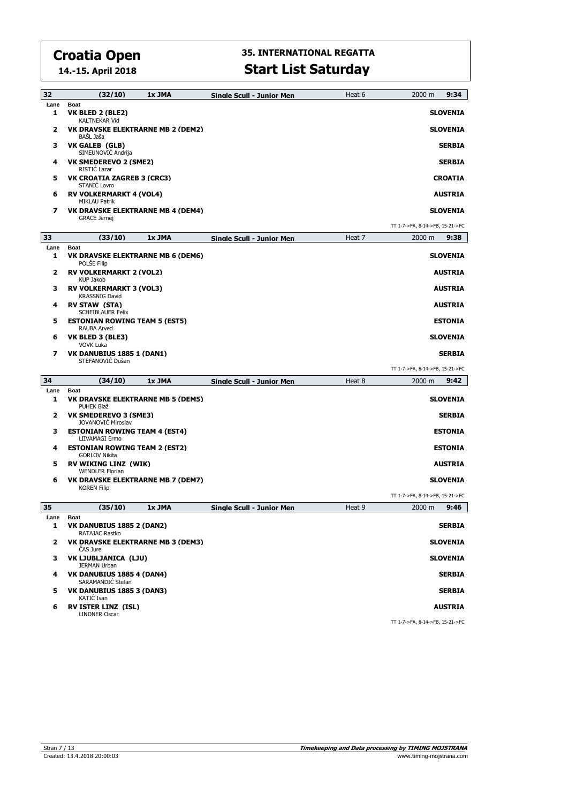**14.-15. April 2018**

### **35. INTERNATIONAL REGATTA Start List Saturday**

| 32           | (32/10)                                                               | 1x JMA | <b>Single Scull - Junior Men</b> | Heat 6 | 9:34<br>2000 m                  |
|--------------|-----------------------------------------------------------------------|--------|----------------------------------|--------|---------------------------------|
| Lane         | <b>Boat</b>                                                           |        |                                  |        |                                 |
| 1            | VK BLED 2 (BLE2)<br><b>KALTNEKAR Vid</b>                              |        |                                  |        | <b>SLOVENIA</b>                 |
| 2            | VK DRAVSKE ELEKTRARNE MB 2 (DEM2)<br>BASL Jaša                        |        |                                  |        | <b>SLOVENIA</b>                 |
| з            | VK GALEB (GLB)<br>SIMEUNOVIĆ Andrija                                  |        |                                  |        | <b>SERBIA</b>                   |
| 4            | VK SMEDEREVO 2 (SME2)<br>RISTIC Lazar                                 |        |                                  |        | <b>SERBIA</b>                   |
| 5            | <b>VK CROATIA ZAGREB 3 (CRC3)</b><br>STANIC Lovro                     |        |                                  |        | <b>CROATIA</b>                  |
| 6            | <b>RV VOLKERMARKT 4 (VOL4)</b><br><b>MIKLAU Patrik</b>                |        |                                  |        | <b>AUSTRIA</b>                  |
| 7            | <b>VK DRAVSKE ELEKTRARNE MB 4 (DEM4)</b><br><b>GRACE Jernej</b>       |        |                                  |        | <b>SLOVENIA</b>                 |
|              |                                                                       |        |                                  |        | TT 1-7->FA, 8-14->FB, 15-21->FC |
| 33           | (33/10)                                                               | 1x JMA | Sinale Scull - Junior Men        | Heat 7 | 2000 m<br>9:38                  |
| Lane         | <b>Boat</b>                                                           |        |                                  |        |                                 |
| 1            | VK DRAVSKE ELEKTRARNE MB 6 (DEM6)<br>POLSE Filip                      |        |                                  |        | <b>SLOVENIA</b>                 |
| 2            | <b>RV VOLKERMARKT 2 (VOL2)</b><br><b>KUP Jakob</b>                    |        |                                  |        | <b>AUSTRIA</b>                  |
| з            | <b>RV VOLKERMARKT 3 (VOL3)</b><br><b>KRASSNIG David</b>               |        |                                  |        | <b>AUSTRIA</b>                  |
| 4            | <b>RV STAW (STA)</b><br><b>SCHEIBLAUER Felix</b>                      |        |                                  |        | <b>AUSTRIA</b>                  |
| 5            | <b>ESTONIAN ROWING TEAM 5 (EST5)</b><br>RAUBA Arved                   |        |                                  |        | <b>ESTONIA</b>                  |
| 6            | VK BLED 3 (BLE3)<br><b>VOVK Luka</b>                                  |        |                                  |        | <b>SLOVENIA</b>                 |
| 7            | VK DANUBIUS 1885 1 (DAN1)<br>STEFANOVIĆ Dušan                         |        |                                  |        | <b>SERBIA</b>                   |
|              |                                                                       |        |                                  |        | TT 1-7->FA, 8-14->FB, 15-21->FC |
| 34           | (34/10)                                                               | 1x JMA | Sinale Scull - Junior Men        | Heat 8 | $2000 \; m$<br>9:42             |
| Lane<br>1    | <b>Boat</b><br><b>VK DRAVSKE ELEKTRARNE MB 5 (DEM5)</b><br>PUHEK Blaž |        |                                  |        | <b>SLOVENIA</b>                 |
| 2            | VK SMEDEREVO 3 (SME3)<br><b>JOVANOVIC Miroslav</b>                    |        |                                  |        | <b>SERBIA</b>                   |
| з            | <b>ESTONIAN ROWING TEAM 4 (EST4)</b><br>LIIVAMAGI Ermo                |        |                                  |        | <b>ESTONIA</b>                  |
| 4            | <b>ESTONIAN ROWING TEAM 2 (EST2)</b><br><b>GORLOV Nikita</b>          |        |                                  |        | <b>ESTONIA</b>                  |
| 5            | <b>RV WIKING LINZ (WIK)</b><br><b>WENDLER Florian</b>                 |        |                                  |        | <b>AUSTRIA</b>                  |
| 6            | VK DRAVSKE ELEKTRARNE MB 7 (DEM7)<br><b>KOREN Filip</b>               |        |                                  |        | <b>SLOVENIA</b>                 |
|              |                                                                       |        |                                  |        | TT 1-7->FA, 8-14->FB, 15-21->FC |
| 35           | (35/10)                                                               | 1x JMA | <b>Single Scull - Junior Men</b> | Heat 9 | 2000 m<br>9:46                  |
| Lane         | <b>Boat</b>                                                           |        |                                  |        |                                 |
| 1            | VK DANUBIUS 1885 2 (DAN2)<br>RATAJAC Rastko                           |        |                                  |        | <b>SERBIA</b>                   |
| $\mathbf{2}$ | <b>VK DRAVSKE ELEKTRARNE MB 3 (DEM3)</b><br>CAS Jure                  |        |                                  |        | <b>SLOVENIA</b>                 |
| 3            | VK LJUBLJANICA (LJU)<br>JERMAN Urban                                  |        |                                  |        | <b>SLOVENIA</b>                 |
| 4            | VK DANUBIUS 1885 4 (DAN4)<br>SARAMANDIC Stefan                        |        |                                  |        | <b>SERBIA</b>                   |
| 5            | VK DANUBIUS 1885 3 (DAN3)<br>KATIC Ivan                               |        |                                  |        | <b>SERBIA</b>                   |
| 6            | <b>RV ISTER LINZ (ISL)</b><br>LINDNER Oscar                           |        |                                  |        | <b>AUSTRIA</b>                  |
|              |                                                                       |        |                                  |        | TT 1-7-55A 8-14-55R 15-21-55C   |

TT 1-7->FA, 8-14->FB, 15-21->FC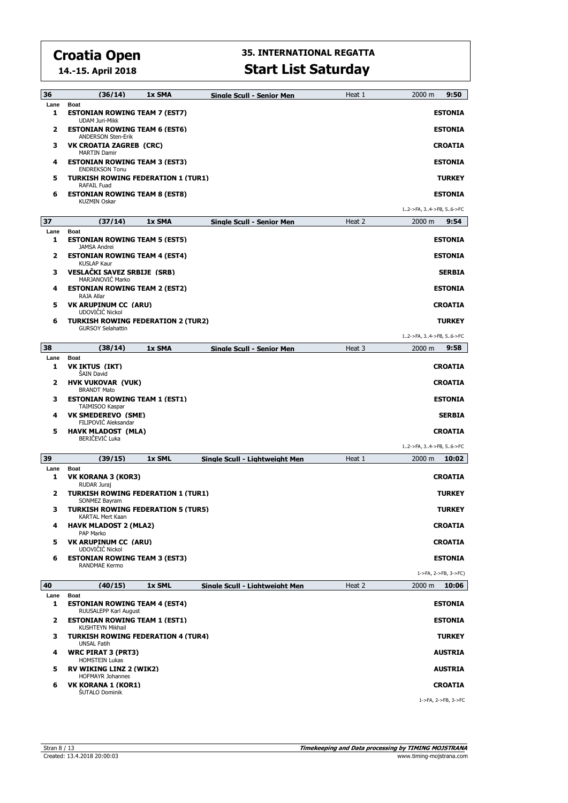**14.-15. April 2018**

| 36         | (36/14)                                                                            | 1x SMA | <b>Sinale Scull - Senior Men</b> | Heat 1 | 2000 m<br>9:50                           |  |
|------------|------------------------------------------------------------------------------------|--------|----------------------------------|--------|------------------------------------------|--|
| Lane<br>1  | <b>Boat</b><br><b>ESTONIAN ROWING TEAM 7 (EST7)</b><br><b>UDAM Juri-Mikk</b>       |        |                                  |        | <b>ESTONIA</b>                           |  |
| 2          | <b>ESTONIAN ROWING TEAM 6 (EST6)</b>                                               |        |                                  |        | <b>ESTONIA</b>                           |  |
| з          | <b>ANDERSON Sten-Erik</b><br><b>VK CROATIA ZAGREB (CRC)</b><br><b>MARTIN Damir</b> |        |                                  |        | <b>CROATIA</b>                           |  |
| 4          | <b>ESTONIAN ROWING TEAM 3 (EST3)</b><br><b>ENDREKSON Tonu</b>                      |        |                                  |        | <b>ESTONIA</b>                           |  |
| 5          | <b>TURKISH ROWING FEDERATION 1 (TUR1)</b><br><b>RAFAIL Fuad</b>                    |        |                                  |        | <b>TURKEY</b>                            |  |
| 6          | <b>ESTONIAN ROWING TEAM 8 (EST8)</b><br><b>KUZMIN Oskar</b>                        |        |                                  |        | <b>ESTONIA</b>                           |  |
|            |                                                                                    |        |                                  |        | 12->FA, 34->FB, 56->FC                   |  |
| 37         | (37/14)                                                                            | 1x SMA | Sinale Scull - Senior Men        | Heat 2 | 9:54<br>2000 m                           |  |
| Lane<br>1  | <b>Boat</b><br><b>ESTONIAN ROWING TEAM 5 (EST5)</b><br><b>JAMSA Andrei</b>         |        |                                  |        | <b>ESTONIA</b>                           |  |
| 2          | <b>ESTONIAN ROWING TEAM 4 (EST4)</b><br><b>KUSLAP Kaur</b>                         |        |                                  |        | <b>ESTONIA</b>                           |  |
| з          | <b>VESLAČKI SAVEZ SRBIJE (SRB)</b><br>MARJANOVIC Marko                             |        |                                  |        | <b>SERBIA</b>                            |  |
| 4          | <b>ESTONIAN ROWING TEAM 2 (EST2)</b><br>RAJA Allar                                 |        |                                  |        | <b>ESTONIA</b>                           |  |
| 5          | <b>VK ARUPINUM CC (ARU)</b><br>UDOVIČIĆ Nickol                                     |        |                                  |        | <b>CROATIA</b>                           |  |
| 6          | <b>TURKISH ROWING FEDERATION 2 (TUR2)</b><br><b>GURSOY Selahattin</b>              |        |                                  |        | <b>TURKEY</b>                            |  |
| 38         | (38/14)                                                                            | 1x SMA | <b>Single Scull - Senior Men</b> | Heat 3 | 12->FA, 34->FB, 56->FC<br>9:58<br>2000 m |  |
| Lane       | <b>Boat</b>                                                                        |        |                                  |        |                                          |  |
| 1          | VK IKTUS (IKT)<br><b>SAIN David</b>                                                |        |                                  |        | <b>CROATIA</b>                           |  |
| 2          | <b>HVK VUKOVAR (VUK)</b><br><b>BRANDT Mato</b>                                     |        |                                  |        | <b>CROATIA</b>                           |  |
| з          | <b>ESTONIAN ROWING TEAM 1 (EST1)</b><br>TAIMISOO Kaspar                            |        |                                  |        | <b>ESTONIA</b>                           |  |
| 4          | <b>VK SMEDEREVO (SME)</b><br>FILIPOVIC Aleksandar                                  |        |                                  |        | <b>SERBIA</b>                            |  |
| 5          | <b>HAVK MLADOST (MLA)</b><br>BERIČEVIĆ Luka                                        |        |                                  |        | <b>CROATIA</b>                           |  |
| 39         |                                                                                    |        |                                  |        | 12->FA, 34->FB, 56->FC                   |  |
| Lane       | (39/15)<br><b>Boat</b>                                                             | 1x SML | Sinale Scull - Liahtweiaht Men   | Heat 1 | 2000 m<br>10:02                          |  |
| 1          | VK KORANA 3 (KOR3)<br>RUDAR Juraj                                                  |        |                                  |        | <b>CROATIA</b>                           |  |
| 2          | <b>TURKISH ROWING FEDERATION 1 (TUR1)</b><br>SONMEZ Bayram                         |        |                                  |        | <b>TURKEY</b>                            |  |
| з          | <b>TURKISH ROWING FEDERATION 5 (TUR5)</b><br>KARTAL Mert Kaan                      |        |                                  |        | <b>TURKEY</b>                            |  |
| 4          | <b>HAVK MLADOST 2 (MLA2)</b><br>PAP Marko                                          |        |                                  |        | <b>CROATIA</b>                           |  |
| 5          | VK ARUPINUM CC (ARU)<br>UDOVIČIĆ Nickol                                            |        |                                  |        | <b>CROATIA</b>                           |  |
| 6          | <b>ESTONIAN ROWING TEAM 3 (EST3)</b><br>RANDMAE Kermo                              |        |                                  |        | <b>ESTONIA</b>                           |  |
|            |                                                                                    |        |                                  |        | 1->FA, 2->FB, 3->FC)                     |  |
| 40<br>Lane | (40/15)<br><b>Boat</b>                                                             | 1x SML | Single Scull - Lightweight Men   | Heat 2 | 10:06<br>$2000 \; \text{m}$              |  |
| 1          | <b>ESTONIAN ROWING TEAM 4 (EST4)</b><br>RUUSALEPP Karl August                      |        |                                  |        | <b>ESTONIA</b>                           |  |
| 2          | <b>ESTONIAN ROWING TEAM 1 (EST1)</b><br>KUSHTEYN Mikhail                           |        |                                  |        | <b>ESTONIA</b>                           |  |
| з          | <b>TURKISH ROWING FEDERATION 4 (TUR4)</b><br><b>UNSAL Fatih</b>                    |        |                                  |        | <b>TURKEY</b>                            |  |
| 4          | <b>WRC PIRAT 3 (PRT3)</b><br><b>HOMSTEIN Lukas</b>                                 |        |                                  |        | <b>AUSTRIA</b>                           |  |
| 5          | <b>RV WIKING LINZ 2 (WIK2)</b><br><b>HOFMAYR Johannes</b>                          |        |                                  |        | <b>AUSTRIA</b>                           |  |
| 6          | VK KORANA 1 (KOR1)<br><b>SUTALO Dominik</b>                                        |        |                                  |        | <b>CROATIA</b>                           |  |
|            |                                                                                    |        |                                  |        | 1->FA, 2->FB, 3->FC                      |  |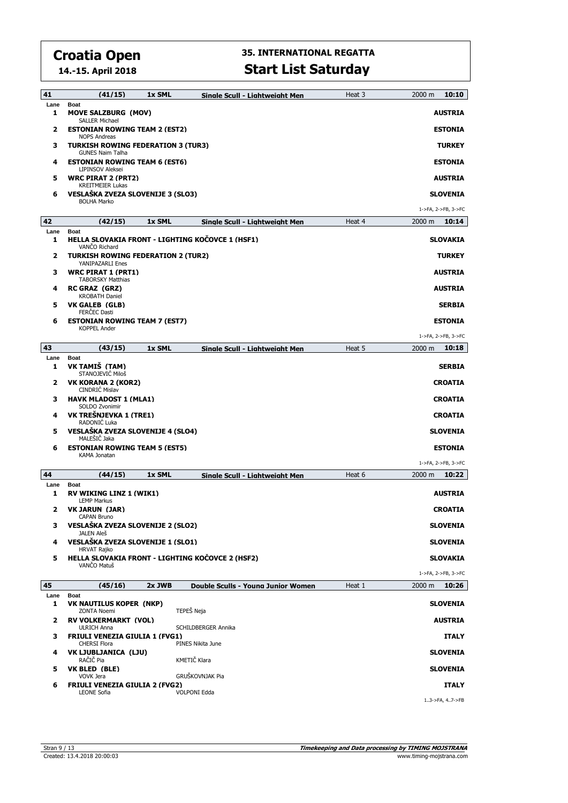**14.-15. April 2018**

| 41           | (41/15)                                                                             | 1x SML | Sinale Scull - Liahtweiaht Men                   | Heat 3 | 2000 m<br>10:10             |
|--------------|-------------------------------------------------------------------------------------|--------|--------------------------------------------------|--------|-----------------------------|
| Lane<br>1    | <b>Boat</b><br><b>MOVE SALZBURG (MOV)</b><br><b>SALLER Michael</b>                  |        |                                                  |        | <b>AUSTRIA</b>              |
| 2            | <b>ESTONIAN ROWING TEAM 2 (EST2)</b>                                                |        |                                                  |        | <b>ESTONIA</b>              |
| з            | <b>NOPS Andreas</b><br><b>TURKISH ROWING FEDERATION 3 (TUR3)</b>                    |        |                                                  |        | <b>TURKEY</b>               |
| 4            | <b>GUNES Naim Talha</b><br><b>ESTONIAN ROWING TEAM 6 (EST6)</b><br>LIPINSOV Aleksei |        |                                                  |        | <b>ESTONIA</b>              |
| 5            | <b>WRC PIRAT 2 (PRT2)</b><br><b>KREITMEIER Lukas</b>                                |        |                                                  |        | AUSTRIA                     |
| 6            | VESLAŠKA ZVEZA SLOVENIJE 3 (SLO3)<br><b>BOLHA Marko</b>                             |        |                                                  |        | <b>SLOVENIA</b>             |
|              |                                                                                     |        |                                                  |        | 1->FA, 2->FB, 3->FC         |
| 42           | (42/15)                                                                             | 1x SML | Sinale Scull - Liahtweiaht Men                   | Heat 4 | $2000 \; \text{m}$<br>10:14 |
| Lane<br>1    | <b>Boat</b><br>VANCO Richard                                                        |        | HELLA SLOVAKIA FRONT - LIGHTING KOČOVCE 1 (HSF1) |        | SLOVAKIA                    |
| 2            | <b>TURKISH ROWING FEDERATION 2 (TUR2)</b><br>YANIPAZARLI Enes                       |        |                                                  |        | <b>TURKEY</b>               |
| з            | <b>WRC PIRAT 1 (PRT1)</b><br><b>TABORSKY Matthias</b>                               |        |                                                  |        | <b>AUSTRIA</b>              |
| 4            | <b>RC GRAZ (GRZ)</b><br><b>KROBATH Daniel</b>                                       |        |                                                  |        | <b>AUSTRIA</b>              |
| 5            | VK GALEB (GLB)<br>FERČEC Dasti                                                      |        |                                                  |        | <b>SERBIA</b>               |
| 6            | <b>ESTONIAN ROWING TEAM 7 (EST7)</b><br><b>KOPPEL Ander</b>                         |        |                                                  |        | <b>ESTONIA</b>              |
|              |                                                                                     |        |                                                  |        | 1->FA, 2->FB, 3->FC         |
| 43           | (43/15)                                                                             | 1x SML | Single Scull - Lightweight Men                   | Heat 5 | 2000 m<br>10:18             |
| Lane<br>1    | <b>Boat</b><br>VK TAMIŠ (TAM)<br>STANOJEVIĆ Miloš                                   |        |                                                  |        | <b>SERBIA</b>               |
| $\mathbf{z}$ | VK KORANA 2 (KOR2)<br>CINDRIC Mislav                                                |        |                                                  |        | <b>CROATIA</b>              |
| з            | <b>HAVK MLADOST 1 (MLA1)</b><br>SOLDO Zvonimir                                      |        |                                                  |        | <b>CROATIA</b>              |
| 4            | VK TREŠNJEVKA 1 (TRE1)<br>RADONIĆ Luka                                              |        |                                                  |        | <b>CROATIA</b>              |
| 5            | VESLAŠKA ZVEZA SLOVENIJE 4 (SLO4)<br>MALEŠIČ Jaka                                   |        |                                                  |        | <b>SLOVENIA</b>             |
| 6            | <b>ESTONIAN ROWING TEAM 5 (EST5)</b><br>KAMA Jonatan                                |        |                                                  |        | <b>ESTONIA</b>              |
|              |                                                                                     |        |                                                  |        | 1->FA, 2->FB, 3->FC         |
| 44           | (44/15)                                                                             | 1x SML | Sinale Scull - Liahtweiaht Men                   | Heat 6 | 2000 m<br>10:22             |
| Lane<br>1    | <b>Boat</b><br>RV WIKING LINZ 1 (WIK1)<br><b>LEMP Markus</b>                        |        |                                                  |        | <b>AUSTRIA</b>              |
| 2            | VK JARUN (JAR)<br>CAPAN Bruno                                                       |        |                                                  |        | <b>CROATIA</b>              |
| 3            | VESLAŠKA ZVEZA SLOVENIJE 2 (SLO2)<br>JALEN Aleš                                     |        |                                                  |        | <b>SLOVENIA</b>             |
| 4            | VESLAŠKA ZVEZA SLOVENIJE 1 (SLO1)<br><b>HRVAT Rajko</b>                             |        |                                                  |        | <b>SLOVENIA</b>             |
| 5            | VANČO Matuš                                                                         |        | HELLA SLOVAKIA FRONT - LIGHTING KOČOVCE 2 (HSF2) |        | <b>SLOVAKIA</b>             |
|              |                                                                                     |        |                                                  |        | 1->FA, 2->FB, 3->FC         |
| 45<br>Lane   | (45/16)<br><b>Boat</b>                                                              | 2x JWB | Double Sculls - Young Junior Women               | Heat 1 | 10:26<br>2000 m             |
| 1            | VK NAUTILUS KOPER (NKP)<br><b>ZONTA Noemi</b>                                       |        | TEPEŠ Neja                                       |        | <b>SLOVENIA</b>             |
| 2            | <b>RV VOLKERMARKT (VOL)</b><br><b>ULRICH Anna</b>                                   |        | SCHILDBERGER Annika                              |        | <b>AUSTRIA</b>              |
| з            | <b>FRIULI VENEZIA GIULIA 1 (FVG1)</b><br><b>CHERSI Flora</b>                        |        | PINES Nikita June                                |        | <b>ITALY</b>                |
| 4            | VK LJUBLJANICA (LJU)<br>RAČIČ Pia                                                   |        | KMETIČ Klara                                     |        | <b>SLOVENIA</b>             |
| 5            | VK BLED (BLE)<br>VOVK Jera                                                          |        | GRUŠKOVNJAK Pia                                  |        | <b>SLOVENIA</b>             |
| 6            | <b>FRIULI VENEZIA GIULIA 2 (FVG2)</b>                                               |        |                                                  |        | <b>ITALY</b>                |
|              | <b>LEONE Sofia</b>                                                                  |        | <b>VOLPONI Edda</b>                              |        | 13->FA, 47->FB              |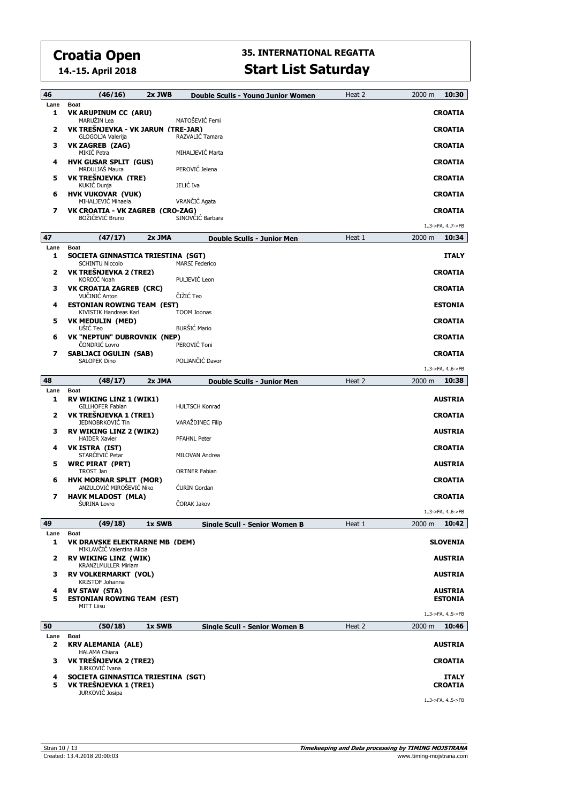**14.-15. April 2018**

| 46             | (46/16)<br>$2x$ JWB                                                             | Double Sculls - Young Junior Women   | Heat 2 | 10:30<br>2000 m                |
|----------------|---------------------------------------------------------------------------------|--------------------------------------|--------|--------------------------------|
| Lane           | <b>Boat</b>                                                                     |                                      |        |                                |
| 1              | <b>VK ARUPINUM CC (ARU)</b><br>MARUŽIN Lea                                      | MATOŠEVIĆ Femi                       |        | <b>CROATIA</b>                 |
| $\overline{2}$ | VK TREŠNJEVKA - VK JARUN (TRE-JAR)<br>GLOGOLJA Valerija                         | RAZVALIĆ Tamara                      |        | <b>CROATIA</b>                 |
| з              | VK ZAGREB (ZAG)<br>MIKIĆ Petra                                                  | MIHALJEVIĆ Marta                     |        | <b>CROATIA</b>                 |
| 4              | <b>HVK GUSAR SPLIT (GUS)</b><br>MRDULJAŠ Maura                                  | PEROVIĆ Jelena                       |        | <b>CROATIA</b>                 |
| 5              | VK TREŠNJEVKA (TRE)<br>KUKIĆ Dunja                                              | JELIĆ Iva                            |        | <b>CROATIA</b>                 |
| 6              | <b>HVK VUKOVAR (VUK)</b><br>MIHALJEVIĆ Mihaela                                  | VRANČIĆ Agata                        |        | <b>CROATIA</b>                 |
| 7              | VK CROATIA - VK ZAGREB (CRO-ZAG)<br>BOŽIČEVIĆ Bruno                             | SINOVČIĆ Barbara                     |        | <b>CROATIA</b>                 |
|                |                                                                                 |                                      |        | 13->FA, 47->FB                 |
| 47             | (47/17)<br>2x JMA                                                               | Double Sculls - Junior Men           | Heat 1 | 2000 m<br>10:34                |
| Lane           | <b>Boat</b>                                                                     |                                      |        |                                |
| 1              | SOCIETA GINNASTICA TRIESTINA (SGT)<br><b>SCHINTU Niccolo</b>                    | <b>MARSI Federico</b>                |        | <b>ITALY</b>                   |
| 2              | VK TREŠNJEVKA 2 (TRE2)<br>KORDIĆ Noah                                           | PULJEVIĆ Leon                        |        | <b>CROATIA</b>                 |
| з              | <b>VK CROATIA ZAGREB (CRC)</b><br>VUČINIĆ Anton                                 | ČIŽIĆ Teo                            |        | <b>CROATIA</b>                 |
| 4              | <b>ESTONIAN ROWING TEAM (EST)</b><br><b>KIVISTIK Handreas Karl</b>              | <b>TOOM Joonas</b>                   |        | <b>ESTONIA</b>                 |
| 5              | <b>VK MEDULIN (MED)</b><br>UŠIĆ Teo                                             | <b>BURŠIĆ Mario</b>                  |        | <b>CROATIA</b>                 |
| 6              | VK "NEPTUN" DUBROVNIK (NEP)<br>ČONDRIĆ Lovro                                    | PEROVIĆ Toni                         |        | <b>CROATIA</b>                 |
| 7              | <b>SABLJACI OGULIN (SAB)</b><br><b>SALOPEK Dino</b>                             | POLJANČIĆ Davor                      |        | <b>CROATIA</b>                 |
|                |                                                                                 |                                      |        | 13->FA, 46->FB                 |
| 48             | (48/17)<br>2x JMA                                                               | Double Sculls - Junior Men           | Heat 2 | 2000 m<br>10:38                |
| Lane<br>1      | <b>Boat</b><br><b>RV WIKING LINZ 1 (WIK1)</b>                                   |                                      |        | <b>AUSTRIA</b>                 |
| $\overline{2}$ | GILLHOFER Fabian<br>VK TREŠNJEVKA 1 (TRE1)                                      | <b>HULTSCH Konrad</b>                |        | <b>CROATIA</b>                 |
| з              | JEDNOBRKOVIĆ Tin<br><b>RV WIKING LINZ 2 (WIK2)</b>                              | VARAŽDINEC Filip                     |        | <b>AUSTRIA</b>                 |
| 4              | <b>HAIDER Xavier</b><br>VK ISTRA (IST)                                          | <b>PFAHNL Peter</b>                  |        | <b>CROATIA</b>                 |
|                | STARČEVIĆ Petar                                                                 | MILOVAN Andrea                       |        |                                |
| 5              | <b>WRC PIRAT (PRT)</b><br>TROST Jan                                             | <b>ORTNER Fabian</b>                 |        | <b>AUSTRIA</b>                 |
| 6              | <b>HVK MORNAR SPLIT (MOR)</b><br>ANZULOVIĆ MIROŠEVIĆ Niko                       | <b>CURIN Gordan</b>                  |        | <b>CROATIA</b>                 |
| 7              | <b>HAVK MLADOST (MLA)</b><br>ŠURINA Lovro                                       | ČORAK Jakov                          |        | <b>CROATIA</b>                 |
|                |                                                                                 |                                      |        | 13->FA, 46->FB                 |
| 49             | (49/18)<br>1x SWB                                                               | Sinale Scull - Senior Women B        | Heat 1 | 10:42<br>2000 m                |
| Lane<br>1      | <b>Boat</b><br><b>VK DRAVSKE ELEKTRARNE MB (DEM)</b>                            |                                      |        | <b>SLOVENIA</b>                |
| 2              | MIKLAVČIČ Valentina Alicia<br>RV WIKING LINZ (WIK)                              |                                      |        | <b>AUSTRIA</b>                 |
| з              | <b>KRANZLMULLER Miriam</b><br><b>RV VOLKERMARKT (VOL)</b>                       |                                      |        |                                |
| 4              |                                                                                 |                                      |        | <b>AUSTRIA</b>                 |
|                | KRISTOF Johanna<br><b>RV STAW (STA)</b>                                         |                                      |        | <b>AUSTRIA</b>                 |
| 5              | <b>ESTONIAN ROWING TEAM (EST)</b><br><b>MITT Liisu</b>                          |                                      |        | <b>ESTONIA</b>                 |
|                |                                                                                 |                                      |        | 13->FA, 45->FB                 |
| 50<br>Lane     | (50/18)<br>1x SWB<br><b>Boat</b>                                                | <b>Single Scull - Senior Women B</b> | Heat 2 | 10:46<br>2000 m                |
| $\mathbf{z}$   | <b>KRV ALEMANIA (ALE)</b><br><b>HALAMA Chiara</b>                               |                                      |        | <b>AUSTRIA</b>                 |
| 3              | VK TREŠNJEVKA 2 (TRE2)<br>JURKOVIĆ Ivana                                        |                                      |        | <b>CROATIA</b>                 |
| 4<br>5         | SOCIETA GINNASTICA TRIESTINA (SGT)<br>VK TREŠNJEVKA 1 (TRE1)<br>JURKOVIĆ Josipa |                                      |        | <b>ITALY</b><br><b>CROATIA</b> |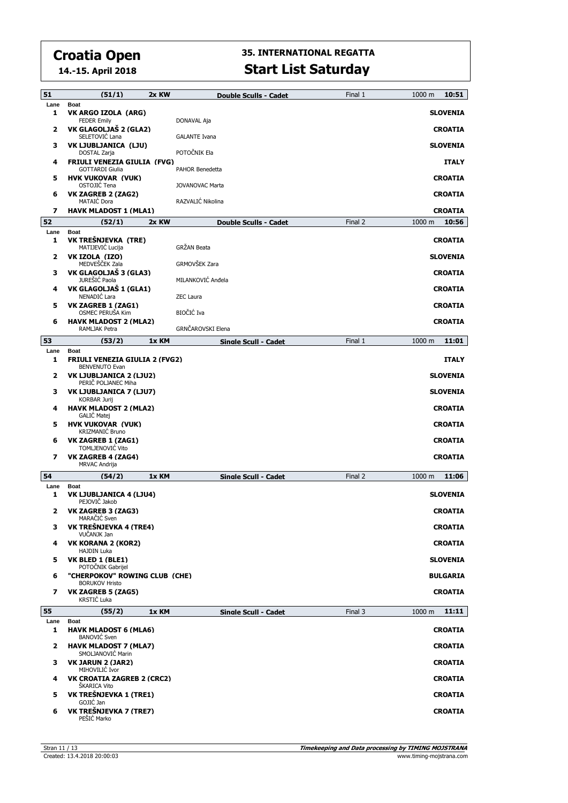**14.-15. April 2018**

| 51         | (51/1)                                                                  | 2x KW | Double Sculls - Cadet       | Final 1 | 10:51<br>1000 m           |
|------------|-------------------------------------------------------------------------|-------|-----------------------------|---------|---------------------------|
| Lane<br>1  | <b>Boat</b><br>VK ARGO IZOLA (ARG)<br><b>FEDER Emily</b>                |       | DONAVAL Aja                 |         | <b>SLOVENIA</b>           |
| 2          | VK GLAGOLJAŠ 2 (GLA2)<br>SELETOVIĆ Lana                                 |       | <b>GALANTE Ivana</b>        |         | <b>CROATIA</b>            |
| з          | VK LJUBLJANICA (LJU)<br>DOSTAL Zarja                                    |       | POTOČNIK Ela                |         | <b>SLOVENIA</b>           |
| 4          | <b>FRIULI VENEZIA GIULIA (FVG)</b><br><b>GOTTARDI Giulia</b>            |       | PAHOR Benedetta             |         | <b>ITALY</b>              |
| 5          | <b>HVK VUKOVAR (VUK)</b><br>OSTOJIĆ Tena                                |       | JOVANOVAC Marta             |         | <b>CROATIA</b>            |
| 6          | VK ZAGREB 2 (ZAG2)<br><b>MATAIC Dora</b>                                |       | RAZVALIĆ Nikolina           |         | <b>CROATIA</b>            |
| 7          | <b>HAVK MLADOST 1 (MLA1)</b>                                            |       |                             |         | <b>CROATIA</b>            |
| 52<br>Lane | (52/1)<br>Boat                                                          | 2x KW | Double Sculls - Cadet       | Final 2 | 10:56<br>1000 m           |
| 1          | VK TREŠNJEVKA (TRE)<br>MATIJEVIĆ Lucija                                 |       | GRŽAN Beata                 |         | <b>CROATIA</b>            |
| 2          | VK IZOLA (IZO)<br>MEDVEŠČEK Zala                                        |       | GRMOVŠEK Zara               |         | <b>SLOVENIA</b>           |
| з          | VK GLAGOLJAŠ 3 (GLA3)<br>JUREŠIĆ Paola                                  |       | MILANKOVIĆ Anđela           |         | <b>CROATIA</b>            |
| 4          | VK GLAGOLJAŠ 1 (GLA1)<br>NENADIĆ Lara                                   |       | <b>ZEC Laura</b>            |         | <b>CROATIA</b>            |
| 5          | VK ZAGREB 1 (ZAG1)<br>OSMEC PERUŠA Kim                                  |       | BIOČIĆ Iva                  |         | <b>CROATIA</b>            |
| 6          | <b>HAVK MLADOST 2 (MLA2)</b><br>RAMLJAK Petra                           |       | GRNČAROVSKI Elena           |         | <b>CROATIA</b>            |
| 53         | (53/2)                                                                  | 1x KM | Single Scull - Cadet        | Final 1 | 11:01<br>1000 m           |
| Lane<br>1  | <b>Boat</b><br><b>FRIULI VENEZIA GIULIA 2 (FVG2)</b>                    |       |                             |         | <b>ITALY</b>              |
| 2          | <b>BENVENUTO Evan</b><br>VK LJUBLJANICA 2 (LJU2)<br>PERIČ POLJANEC Miha |       |                             |         | <b>SLOVENIA</b>           |
| з          | VK LJUBLJANICA 7 (LJU7)<br><b>KORBAR Jurij</b>                          |       |                             |         | <b>SLOVENIA</b>           |
| 4          | <b>HAVK MLADOST 2 (MLA2)</b><br>GALIC Matej                             |       |                             |         | <b>CROATIA</b>            |
| 5          | <b>HVK VUKOVAR (VUK)</b><br>KRIZMANIĆ Bruno                             |       |                             |         | <b>CROATIA</b>            |
| 6          | <b>VK ZAGREB 1 (ZAG1)</b><br>TOMLJENOVIĆ Vito                           |       |                             |         | <b>CROATIA</b>            |
| 7          | VK ZAGREB 4 (ZAG4)<br><b>MRVAC Andrija</b>                              |       |                             |         | <b>CROATIA</b>            |
| 54         | (54/2)                                                                  | 1x KM | Single Scull - Cadet        | Final 2 | 1000 m<br>11:06           |
| Lane<br>1  | Boat<br>VK LJUBLJANICA 4 (LJU4)                                         |       |                             |         | <b>SLOVENIA</b>           |
| 2          | PEJOVIČ Jakob<br><b>VK ZAGREB 3 (ZAG3)</b>                              |       |                             |         | <b>CROATIA</b>            |
| з          | MARACIC Sven<br>VK TREŠNJEVKA 4 (TRE4)<br>VUČANJK Jan                   |       |                             |         | <b>CROATIA</b>            |
| 4          | <b>VK KORANA 2 (KOR2)</b><br><b>HAJDIN Luka</b>                         |       |                             |         | <b>CROATIA</b>            |
| 5          | VK BLED 1 (BLE1)<br>POTOČNIK Gabrijel                                   |       |                             |         | <b>SLOVENIA</b>           |
| 6          | "CHERPOKOV" ROWING CLUB (CHE)<br><b>BORUKOV Hristo</b>                  |       |                             |         | <b>BULGARIA</b>           |
| 7          | VK ZAGREB 5 (ZAG5)<br><b>KRSTIĆ Luka</b>                                |       |                             |         | <b>CROATIA</b>            |
| 55         | (55/2)                                                                  | 1x KM | <b>Single Scull - Cadet</b> | Final 3 | 11:11<br>$1000 \text{ m}$ |
| Lane<br>1  | <b>Boat</b><br><b>HAVK MLADOST 6 (MLA6)</b>                             |       |                             |         | <b>CROATIA</b>            |
| 2          | <b>BANOVIĆ</b> Sven<br><b>HAVK MLADOST 7 (MLA7)</b>                     |       |                             |         | <b>CROATIA</b>            |
| з          | SMOLJANOVIĆ Marin<br>VK JARUN 2 (JAR2)                                  |       |                             |         | <b>CROATIA</b>            |
| 4          | MIHOVILIĆ Ivor<br><b>VK CROATIA ZAGREB 2 (CRC2)</b>                     |       |                             |         | <b>CROATIA</b>            |
| 5          | ŠKARICA Vito<br>VK TREŠNJEVKA 1 (TRE1)                                  |       |                             |         | <b>CROATIA</b>            |
| 6          | GOJIĆ Jan<br>VK TREŠNJEVKA 7 (TRE7)<br>PEŠIĆ Marko                      |       |                             |         | <b>CROATIA</b>            |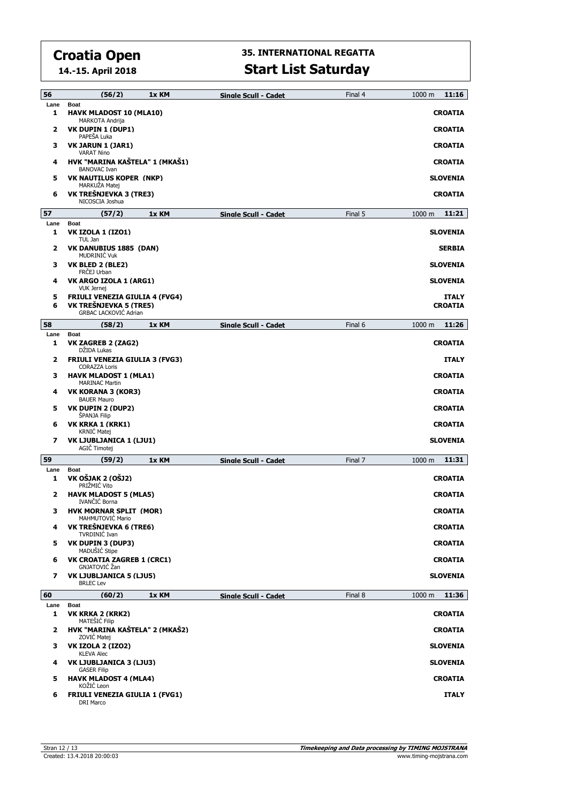**14.-15. April 2018**

| 56                | (56/2)                                                              | 1x KM | Single Scull - Cadet | Final 4 | $1000 \text{ m}$<br>11:16         |
|-------------------|---------------------------------------------------------------------|-------|----------------------|---------|-----------------------------------|
| Lane<br>1         | <b>Boat</b><br><b>HAVK MLADOST 10 (MLA10)</b><br>MARKOTA Andrija    |       |                      |         | <b>CROATIA</b>                    |
| 2                 | VK DUPIN 1 (DUP1)<br>PAPEŠA Luka                                    |       |                      |         | <b>CROATIA</b>                    |
| з                 | VK JARUN 1 (JAR1)<br><b>VARAT Nino</b>                              |       |                      |         | <b>CROATIA</b>                    |
| 4                 | HVK "MARINA KAŠTELA" 1 (MKAŠ1)<br><b>BANOVAC Ivan</b>               |       |                      |         | <b>CROATIA</b>                    |
| 5                 | <b>VK NAUTILUS KOPER (NKP)</b><br>MARKUŻA Matej                     |       |                      |         | SLOVENIA                          |
| 6                 | VK TREŠNJEVKA 3 (TRE3)<br>NICOSCIA Joshua                           |       |                      |         | <b>CROATIA</b>                    |
| 57                | (57/2)                                                              | 1x KM | Single Scull - Cadet | Final 5 | 11:21<br>$1000 \text{ m}$         |
| Lane<br>1         | <b>Boat</b><br><b>VK IZOLA 1 (IZO1)</b>                             |       |                      |         | <b>SLOVENIA</b>                   |
| $\mathbf{z}$      | TUL Jan<br>VK DANUBIUS 1885 (DAN)<br><b>MUDRINIC Vuk</b>            |       |                      |         | <b>SERBIA</b>                     |
| з                 | VK BLED 2 (BLE2)<br>FRCEJ Urban                                     |       |                      |         | <b>SLOVENIA</b>                   |
| 4                 | VK ARGO IZOLA 1 (ARG1)<br>VUK Jernej                                |       |                      |         | <b>SLOVENIA</b>                   |
| 5<br>6            | <b>FRIULI VENEZIA GIULIA 4 (FVG4)</b><br>VK TREŚNJEVKA 5 (TRE5)     |       |                      |         | <b>ITALY</b><br><b>CROATIA</b>    |
|                   | <b>GRBAC LACKOVIĆ Adrian</b>                                        |       |                      |         |                                   |
| 58                | (58/2)                                                              | 1x KM | Single Scull - Cadet | Final 6 | 11:26<br>1000 m                   |
| Lane<br>1         | <b>Boat</b><br>VK ZAGREB 2 (ZAG2)<br>DŽIDA Lukas                    |       |                      |         | <b>CROATIA</b>                    |
| 2                 | <b>FRIULI VENEZIA GIULIA 3 (FVG3)</b><br><b>CORAZZA Loris</b>       |       |                      |         | <b>ITALY</b>                      |
| з                 | <b>HAVK MLADOST 1 (MLA1)</b><br><b>MARINAC Martin</b>               |       |                      |         | <b>CROATIA</b>                    |
| 4                 | VK KORANA 3 (KOR3)<br><b>BAUER Mauro</b>                            |       |                      |         | <b>CROATIA</b>                    |
| 5                 | VK DUPIN 2 (DUP2)<br><b>SPANJA Filip</b>                            |       |                      |         | <b>CROATIA</b>                    |
| 6                 | VK KRKA 1 (KRK1)<br><b>KRNIC Matej</b>                              |       |                      |         | <b>CROATIA</b>                    |
| 7                 | VK LJUBLJANICA 1 (LJU1)<br>AGIC Timotej                             |       |                      |         | <b>SLOVENIA</b>                   |
| 59                | (59/2)                                                              | 1x KM | Single Scull - Cadet | Final 7 | 11:31<br>1000 m                   |
| Lane<br>1         | <b>Boat</b><br>VK OŠJAK 2 (OŠJ2)<br>PRIŽMIĆ Vito                    |       |                      |         | <b>CROATIA</b>                    |
| 2                 | <b>HAVK MLADOST 5 (MLA5)</b><br>IVANČIĆ Borna                       |       |                      |         | <b>CROATIA</b>                    |
| з                 | <b>HVK MORNAR SPLIT (MOR)</b><br>MAHMUTOVIC Mario                   |       |                      |         | <b>CROATIA</b>                    |
| 4                 | VK TREŠNJEVKA 6 (TRE6)<br>TVRDINIĆ Ivan                             |       |                      |         | <b>CROATIA</b>                    |
| 5                 | VK DUPIN 3 (DUP3)<br>MADUŠIĆ Stipe                                  |       |                      |         | <b>CROATIA</b>                    |
| 6                 | VK CROATIA ZAGREB 1 (CRC1)<br>GNJATOVIĆ Žan                         |       |                      |         | <b>CROATIA</b>                    |
| $\overline{ }$    | VK LJUBLJANICA 5 (LJU5)<br><b>BRLEC Lev</b>                         |       |                      |         | <b>SLOVENIA</b>                   |
| 60                | (60/2)                                                              | 1x KM | Single Scull - Cadet | Final 8 | 11:36<br>1000 <sub>m</sub>        |
| Lane              | <b>Boat</b>                                                         |       |                      |         |                                   |
| 1                 | VK KRKA 2 (KRK2)<br>MATEŠIĆ Filip<br>HVK "MARINA KAŠTELA" 2 (MKAŠ2) |       |                      |         | <b>CROATIA</b>                    |
| $\mathbf{z}$<br>3 | ZOVIĆ Matej<br><b>VK IZOLA 2 (IZO2)</b>                             |       |                      |         | <b>CROATIA</b><br><b>SLOVENIA</b> |
| 4                 | <b>KLEVA Alec</b><br>VK LJUBLJANICA 3 (LJU3)                        |       |                      |         | <b>SLOVENIA</b>                   |
| 5                 | <b>GASER Filip</b><br><b>HAVK MLADOST 4 (MLA4)</b>                  |       |                      |         | <b>CROATIA</b>                    |
| 6                 | KOŽIĆ Leon<br><b>FRIULI VENEZIA GIULIA 1 (FVG1)</b>                 |       |                      |         | <b>ITALY</b>                      |
|                   | DRI Marco                                                           |       |                      |         |                                   |